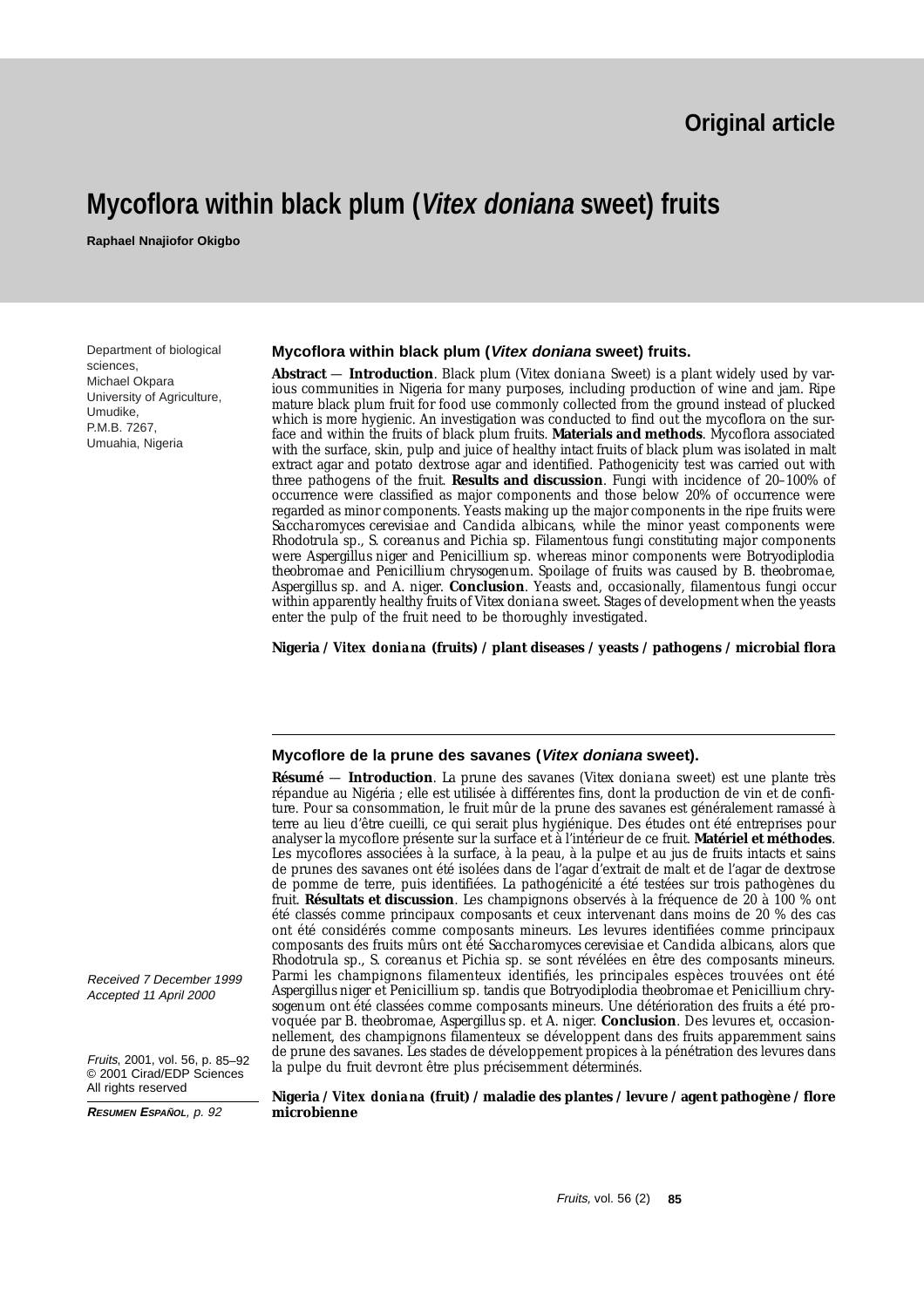# **Original article**

# **Mycoflora within black plum (Vitex doniana sweet) fruits**

**Raphael Nnajiofor Okigbo**

Department of biological sciences, Michael Okpara University of Agriculture, Umudike, P.M.B. 7267, Umuahia, Nigeria

#### **Mycoflora within black plum (Vitex doniana sweet) fruits.**

**Abstract** — **Introduction**. Black plum (*Vitex doniana* Sweet) is a plant widely used by various communities in Nigeria for many purposes, including production of wine and jam. Ripe mature black plum fruit for food use commonly collected from the ground instead of plucked which is more hygienic. An investigation was conducted to find out the mycoflora on the surface and within the fruits of black plum fruits. **Materials and methods**. Mycoflora associated with the surface, skin, pulp and juice of healthy intact fruits of black plum was isolated in malt extract agar and potato dextrose agar and identified. Pathogenicity test was carried out with three pathogens of the fruit. **Results and discussion**. Fungi with incidence of 20–100% of occurrence were classified as major components and those below 20% of occurrence were regarded as minor components. Yeasts making up the major components in the ripe fruits were *Saccharomyces cerevisiae* and *Candida albicans*, while the minor yeast components were *Rhodotrula* sp.*, S. coreanus* and *Pichia* sp*.* Filamentous fungi constituting major components were *Aspergillus niger* and *Penicillium* sp*.* whereas minor components were *Botryodiplodia theobromae* and *Penicillium chrysogenum.* Spoilage of fruits was caused by *B. theobromae, Aspergillus* sp*.* and *A. niger.* **Conclusion**. Yeasts and, occasionally, filamentous fungi occur within apparently healthy fruits of *Vitex doniana* sweet. Stages of development when the yeasts enter the pulp of the fruit need to be thoroughly investigated.

#### **Nigeria /** *Vitex doniana* **(fruits) / plant diseases / yeasts / pathogens / microbial flora**

#### **Mycoflore de la prune des savanes (Vitex doniana sweet).**

**Résumé** — **Introduction**. La prune des savanes (*Vitex doniana* sweet) est une plante très répandue au Nigéria ; elle est utilisée à différentes fins, dont la production de vin et de confiture. Pour sa consommation, le fruit mûr de la prune des savanes est généralement ramassé à terre au lieu d'être cueilli, ce qui serait plus hygiénique. Des études ont été entreprises pour analyser la mycoflore présente sur la surface et à l'intérieur de ce fruit. **Matériel et méthodes**. Les mycoflores associées à la surface, à la peau, à la pulpe et au jus de fruits intacts et sains de prunes des savanes ont été isolées dans de l'agar d'extrait de malt et de l'agar de dextrose de pomme de terre, puis identifiées. La pathogénicité a été testées sur trois pathogènes du fruit. **Résultats et discussion**. Les champignons observés à la fréquence de 20 à 100 % ont été classés comme principaux composants et ceux intervenant dans moins de 20 % des cas ont été considérés comme composants mineurs. Les levures identifiées comme principaux composants des fruits mûrs ont été *Saccharomyces cerevisiae* et *Candida albicans*, alors que *Rhodotrula* sp.*, S. coreanus* et *Pichia* sp. se sont révélées en être des composants mineurs. Parmi les champignons filamenteux identifiés, les principales espèces trouvées ont été *Aspergillus niger* et *Penicillium* sp. tandis que *Botryodiplodia theobromae* et *Penicillium chrysogenum* ont été classées comme composants mineurs. Une détérioration des fruits a été provoquée par *B. theobromae, Aspergillus* sp*.* et *A. niger.* **Conclusion**. Des levures et, occasionnellement, des champignons filamenteux se développent dans des fruits apparemment sains de prune des savanes. Les stades de développement propices à la pénétration des levures dans la pulpe du fruit devront être plus précisemment déterminés.

**Nigeria /** *Vitex doniana* **(fruit) / maladie des plantes / levure / agent pathogène / flore microbienne**

Received 7 December 1999 Accepted 11 April 2000

Fruits, 2001, vol. 56, p. 85–92 © 2001 Cirad/EDP Sciences All rights reserved

**RESUMEN ESPAÑOL**, p. 92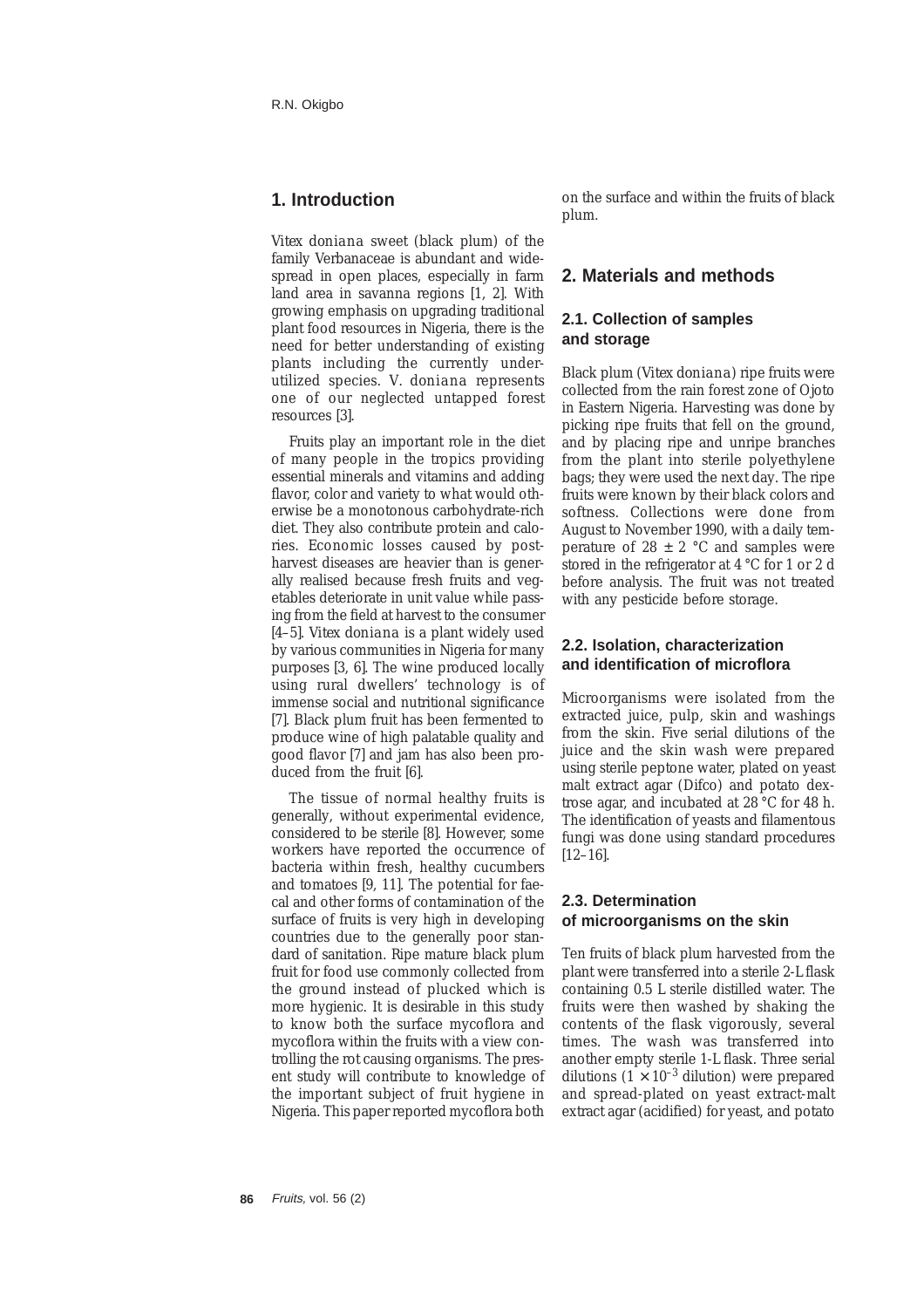# **1. Introduction**

*Vitex doniana* sweet (black plum) of the family Verbanaceae is abundant and widespread in open places, especially in farm land area in savanna regions [1, 2]. With growing emphasis on upgrading traditional plant food resources in Nigeria, there is the need for better understanding of existing plants including the currently underutilized species. *V. doniana* represents one of our neglected untapped forest resources [3].

Fruits play an important role in the diet of many people in the tropics providing essential minerals and vitamins and adding flavor, color and variety to what would otherwise be a monotonous carbohydrate-rich diet. They also contribute protein and calories. Economic losses caused by postharvest diseases are heavier than is generally realised because fresh fruits and vegetables deteriorate in unit value while passing from the field at harvest to the consumer [4–5]. *Vitex doniana* is a plant widely used by various communities in Nigeria for many purposes [3, 6]. The wine produced locally using rural dwellers' technology is of immense social and nutritional significance [7]. Black plum fruit has been fermented to produce wine of high palatable quality and good flavor [7] and jam has also been produced from the fruit [6].

The tissue of normal healthy fruits is generally, without experimental evidence, considered to be sterile [8]. However, some workers have reported the occurrence of bacteria within fresh, healthy cucumbers and tomatoes [9, 11]. The potential for faecal and other forms of contamination of the surface of fruits is very high in developing countries due to the generally poor standard of sanitation. Ripe mature black plum fruit for food use commonly collected from the ground instead of plucked which is more hygienic. It is desirable in this study to know both the surface mycoflora and mycoflora within the fruits with a view controlling the rot causing organisms. The present study will contribute to knowledge of the important subject of fruit hygiene in Nigeria. This paper reported mycoflora both

on the surface and within the fruits of black plum.

## **2. Materials and methods**

## **2.1. Collection of samples and storage**

Black plum (*Vitex doniana*) ripe fruits were collected from the rain forest zone of Ojoto in Eastern Nigeria. Harvesting was done by picking ripe fruits that fell on the ground, and by placing ripe and unripe branches from the plant into sterile polyethylene bags; they were used the next day. The ripe fruits were known by their black colors and softness. Collections were done from August to November 1990, with a daily temperature of  $28 \pm 2$  °C and samples were stored in the refrigerator at 4 °C for 1 or 2 d before analysis. The fruit was not treated with any pesticide before storage.

# **2.2. Isolation, characterization and identification of microflora**

Microorganisms were isolated from the extracted juice, pulp, skin and washings from the skin. Five serial dilutions of the juice and the skin wash were prepared using sterile peptone water, plated on yeast malt extract agar (Difco) and potato dextrose agar, and incubated at 28 °C for 48 h. The identification of yeasts and filamentous fungi was done using standard procedures [12–16].

## **2.3. Determination of microorganisms on the skin**

Ten fruits of black plum harvested from the plant were transferred into a sterile 2-L flask containing 0.5 L sterile distilled water. The fruits were then washed by shaking the contents of the flask vigorously, several times. The wash was transferred into another empty sterile 1-L flask. Three serial dilutions  $(1 \times 10^{-3}$  dilution) were prepared and spread-plated on yeast extract-malt extract agar (acidified) for yeast, and potato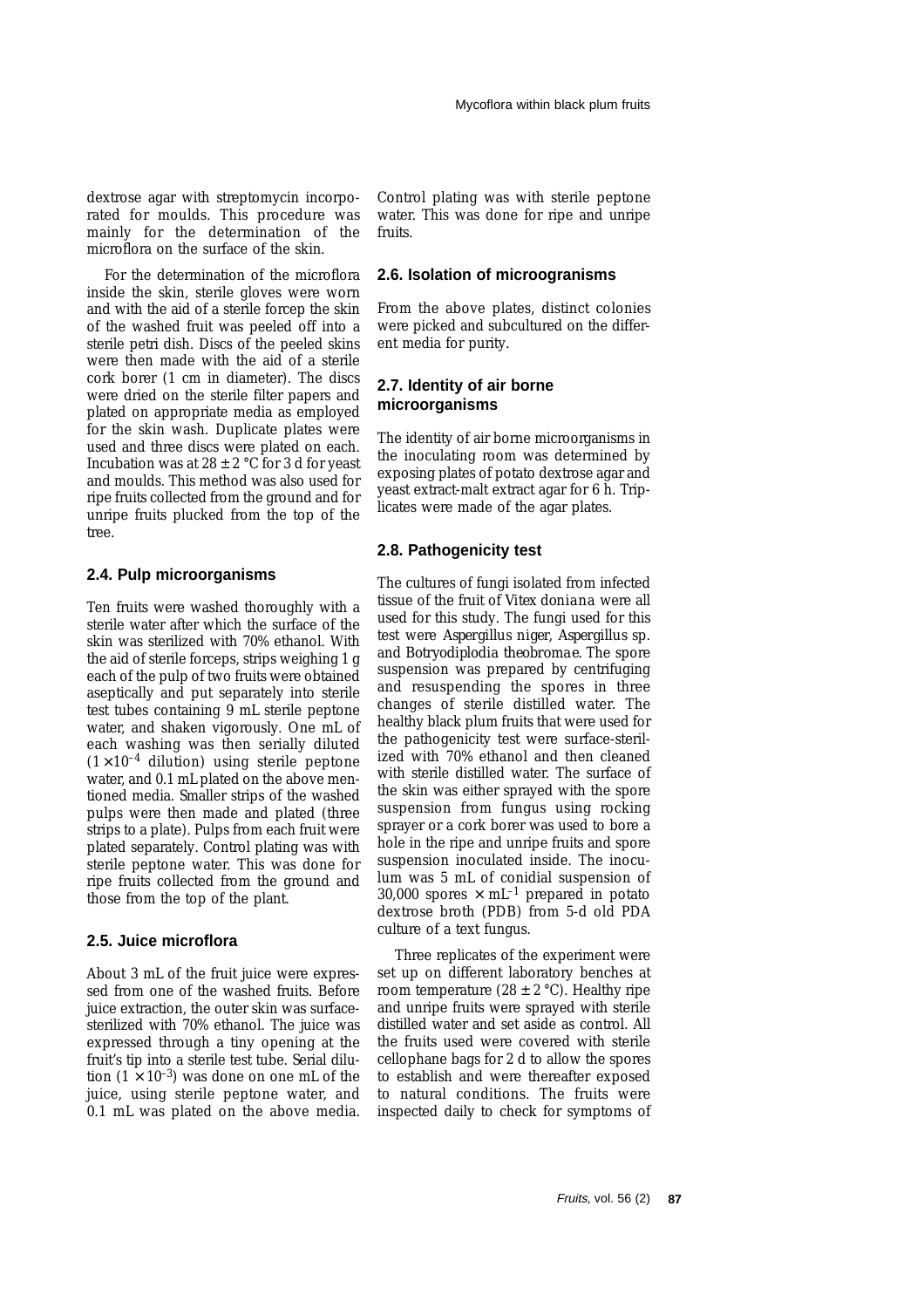dextrose agar with streptomycin incorporated for moulds. This procedure was mainly for the determination of the microflora on the surface of the skin.

For the determination of the microflora inside the skin, sterile gloves were worn and with the aid of a sterile forcep the skin of the washed fruit was peeled off into a sterile petri dish. Discs of the peeled skins were then made with the aid of a sterile cork borer (1 cm in diameter). The discs were dried on the sterile filter papers and plated on appropriate media as employed for the skin wash. Duplicate plates were used and three discs were plated on each. Incubation was at  $28 \pm 2$  °C for 3 d for yeast and moulds. This method was also used for ripe fruits collected from the ground and for unripe fruits plucked from the top of the tree.

#### **2.4. Pulp microorganisms**

Ten fruits were washed thoroughly with a sterile water after which the surface of the skin was sterilized with 70% ethanol. With the aid of sterile forceps, strips weighing 1 g each of the pulp of two fruits were obtained aseptically and put separately into sterile test tubes containing 9 mL sterile peptone water, and shaken vigorously. One mL of each washing was then serially diluted  $(1 \times 10^{-4}$  dilution) using sterile peptone water, and 0.1 mL plated on the above mentioned media. Smaller strips of the washed pulps were then made and plated (three strips to a plate). Pulps from each fruit were plated separately. Control plating was with sterile peptone water. This was done for ripe fruits collected from the ground and those from the top of the plant.

## **2.5. Juice microflora**

About 3 mL of the fruit juice were expressed from one of the washed fruits. Before juice extraction, the outer skin was surfacesterilized with 70% ethanol. The juice was expressed through a tiny opening at the fruit's tip into a sterile test tube. Serial dilution  $(1 \times 10^{-3})$  was done on one mL of the juice, using sterile peptone water, and 0.1 mL was plated on the above media.

Control plating was with sterile peptone water. This was done for ripe and unripe fruits.

#### **2.6. Isolation of microogranisms**

From the above plates, distinct colonies were picked and subcultured on the different media for purity.

## **2.7. Identity of air borne microorganisms**

The identity of air borne microorganisms in the inoculating room was determined by exposing plates of potato dextrose agar and yeast extract-malt extract agar for 6 h. Triplicates were made of the agar plates.

## **2.8. Pathogenicity test**

The cultures of fungi isolated from infected tissue of the fruit of *Vitex doniana* were all used for this study. The fungi used for this test were *Aspergillus niger, Aspergillus* sp. and *Botryodiplodia theobromae.* The spore suspension was prepared by centrifuging and resuspending the spores in three changes of sterile distilled water. The healthy black plum fruits that were used for the pathogenicity test were surface-sterilized with 70% ethanol and then cleaned with sterile distilled water. The surface of the skin was either sprayed with the spore suspension from fungus using rocking sprayer or a cork borer was used to bore a hole in the ripe and unripe fruits and spore suspension inoculated inside. The inoculum was 5 mL of conidial suspension of 30,000 spores  $\times$  mL<sup>-1</sup> prepared in potato dextrose broth (PDB) from 5-d old PDA culture of a text fungus.

Three replicates of the experiment were set up on different laboratory benches at room temperature  $(28 \pm 2 \degree C)$ . Healthy ripe and unripe fruits were sprayed with sterile distilled water and set aside as control. All the fruits used were covered with sterile cellophane bags for 2 d to allow the spores to establish and were thereafter exposed to natural conditions. The fruits were inspected daily to check for symptoms of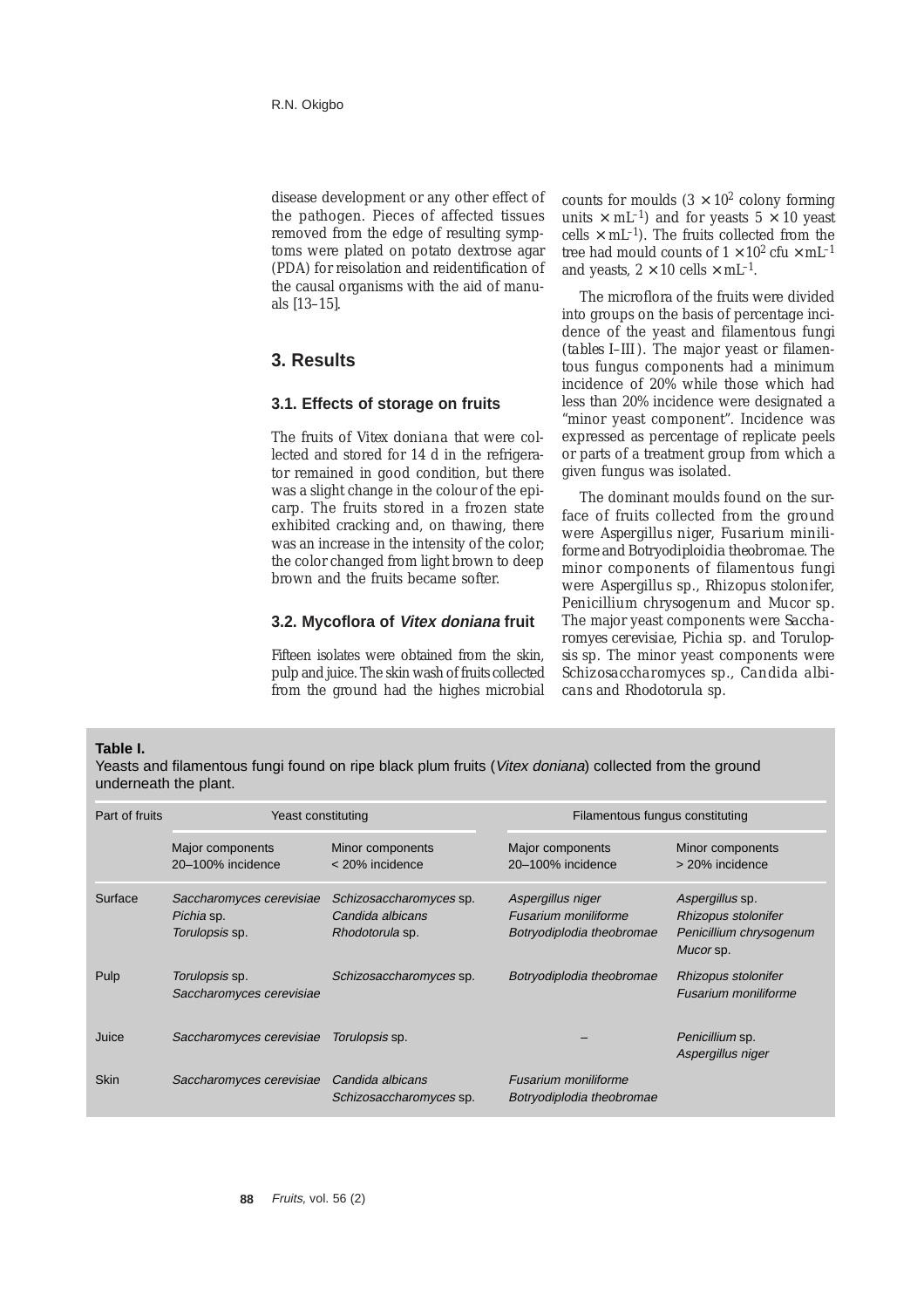disease development or any other effect of the pathogen. Pieces of affected tissues removed from the edge of resulting symptoms were plated on potato dextrose agar (PDA) for reisolation and reidentification of the causal organisms with the aid of manuals [13–15].

# **3. Results**

## **3.1. Effects of storage on fruits**

The fruits of *Vitex doniana* that were collected and stored for 14 d in the refrigerator remained in good condition, but there was a slight change in the colour of the epicarp. The fruits stored in a frozen state exhibited cracking and, on thawing, there was an increase in the intensity of the color; the color changed from light brown to deep brown and the fruits became softer.

## **3.2. Mycoflora of Vitex doniana fruit**

Fifteen isolates were obtained from the skin, pulp and juice. The skin wash of fruits collected from the ground had the highes microbial

counts for moulds  $(3 \times 10^2 \text{ colony forming})$ units  $\times$  mL<sup>-1</sup>) and for yeasts  $5 \times 10$  yeast cells  $\times$  mL<sup>-1</sup>). The fruits collected from the tree had mould counts of  $1 \times 10^2$  cfu  $\times$  mL<sup>-1</sup> and yeasts,  $2 \times 10$  cells  $\times$  mL<sup>-1</sup>.

The microflora of the fruits were divided into groups on the basis of percentage incidence of the yeast and filamentous fungi *(tables I–III )*. The major yeast or filamentous fungus components had a minimum incidence of 20% while those which had less than 20% incidence were designated a "minor yeast component". Incidence was expressed as percentage of replicate peels or parts of a treatment group from which a given fungus was isolated.

The dominant moulds found on the surface of fruits collected from the ground were *Aspergillus niger, Fusarium miniliforme* and *Botryodiploidia theobromae.* The minor components of filamentous fungi were *Aspergillus* sp., *Rhizopus stolonifer, Penicillium chrysogenum* and *Mucor* sp*.* The major yeast components were *Saccharomyes cerevisiae, Pichia* sp. and *Torulopsis* sp. The minor yeast components were S*chizosaccharomyces* sp.*, Candida albicans* and *Rhodotorula* sp.

### **Table I.**

Yeasts and filamentous fungi found on ripe black plum fruits (Vitex doniana) collected from the ground underneath the plant.

| Part of fruits | Yeast constituting                                       |                                                                | Filamentous fungus constituting                                        |                                                                                |
|----------------|----------------------------------------------------------|----------------------------------------------------------------|------------------------------------------------------------------------|--------------------------------------------------------------------------------|
|                | Major components<br>20-100% incidence                    | Minor components<br>$<$ 20% incidence                          | Major components<br>20-100% incidence                                  | Minor components<br>> 20% incidence                                            |
| Surface        | Saccharomyces cerevisiae<br>Pichia sp.<br>Torulopsis sp. | Schizosaccharomyces sp.<br>Candida albicans<br>Rhodotorula sp. | Aspergillus niger<br>Fusarium moniliforme<br>Botryodiplodia theobromae | Aspergillus sp.<br>Rhizopus stolonifer<br>Penicillium chrysogenum<br>Mucor sp. |
| <b>Pulp</b>    | Torulopsis sp.<br>Saccharomyces cerevisiae               | Schizosaccharomyces sp.                                        | Botryodiplodia theobromae                                              | Rhizopus stolonifer<br><b>Fusarium moniliforme</b>                             |
| Juice          | Saccharomyces cerevisiae                                 | Torulopsis sp.                                                 |                                                                        | Penicillium sp.<br>Aspergillus niger                                           |
| <b>Skin</b>    | Saccharomyces cerevisiae                                 | Candida albicans<br>Schizosaccharomyces sp.                    | <b>Fusarium moniliforme</b><br>Botryodiplodia theobromae               |                                                                                |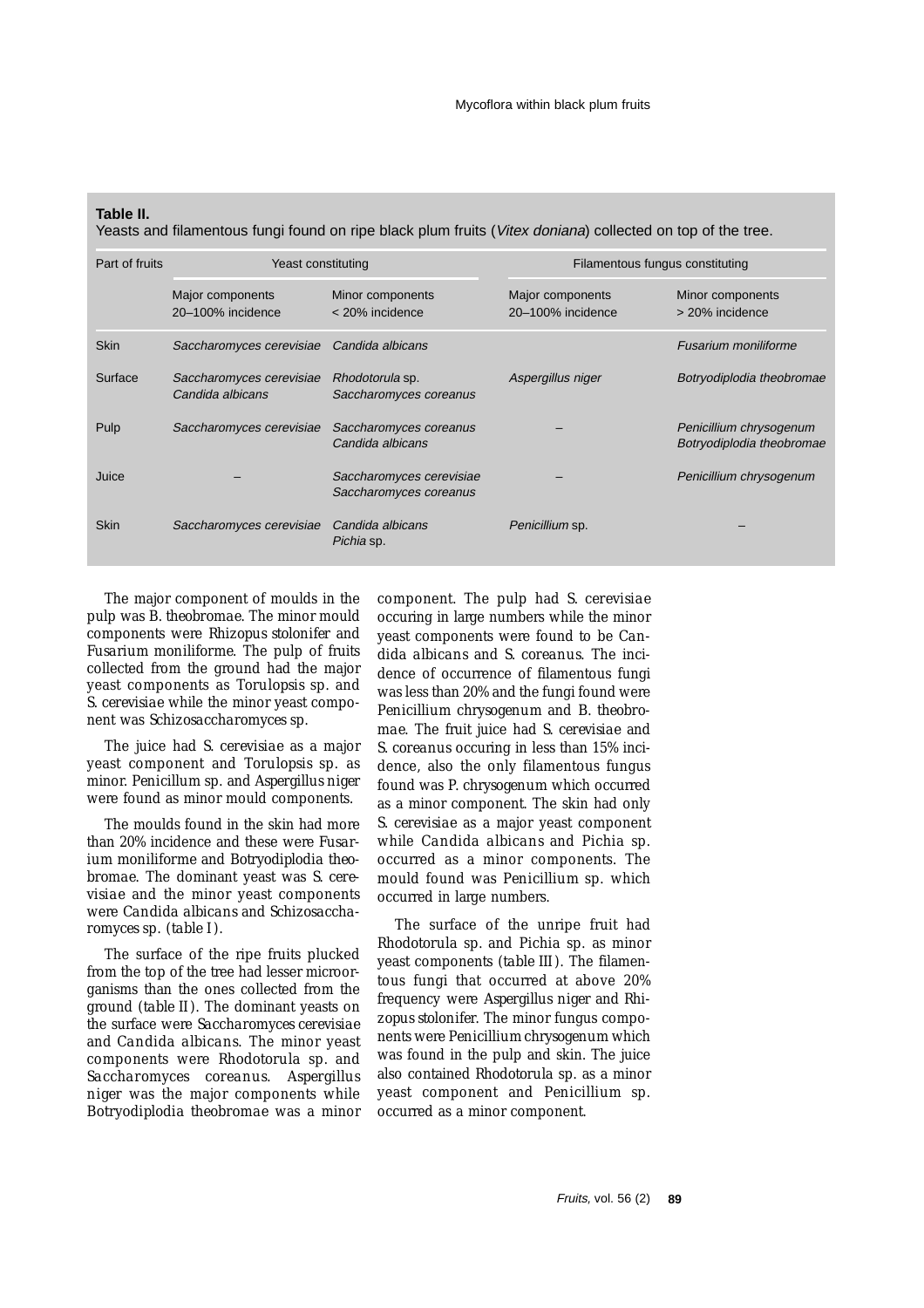#### **Table II.**

Yeasts and filamentous fungi found on ripe black plum fruits (Vitex doniana) collected on top of the tree.

| Part of fruits | Yeast constituting                           |                                                    | Filamentous fungus constituting       |                                                      |
|----------------|----------------------------------------------|----------------------------------------------------|---------------------------------------|------------------------------------------------------|
|                | Major components<br>20-100% incidence        | Minor components<br>$<$ 20% incidence              | Major components<br>20-100% incidence | Minor components<br>> 20% incidence                  |
| <b>Skin</b>    | Saccharomyces cerevisiae                     | Candida albicans                                   |                                       | Fusarium moniliforme                                 |
| Surface        | Saccharomyces cerevisiae<br>Candida albicans | Rhodotorula sp.<br>Saccharomyces coreanus          | Aspergillus niger                     | Botryodiplodia theobromae                            |
| Pulp           | Saccharomyces cerevisiae                     | Saccharomyces coreanus<br>Candida albicans         |                                       | Penicillium chrysogenum<br>Botryodiplodia theobromae |
| Juice          |                                              | Saccharomyces cerevisiae<br>Saccharomyces coreanus |                                       | Penicillium chrysogenum                              |
| <b>Skin</b>    | Saccharomyces cerevisiae                     | Candida albicans<br>Pichia sp.                     | Penicillium sp.                       |                                                      |

The major component of moulds in the pulp was *B. theobromae.* The minor mould components were *Rhizopus stolonifer* and *Fusarium moniliforme.* The pulp of fruits collected from the ground had the major yeast components as *Torulopsis* sp. and *S. cerevisiae* while the minor yeast component was *Schizosaccharomyces* sp.

The juice had *S. cerevisiae* as a major yeast component and *Torulopsis* sp. as minor. *Penicillum* sp. and *Aspergillus niger* were found as minor mould components.

The moulds found in the skin had more than 20% incidence and these were *Fusarium moniliforme* and *Botryodiplodia theobromae.* The dominant yeast was *S. cerevisiae* and the minor yeast components were *Candida albicans* and *Schizosaccharomyces* sp. *(table I )*.

The surface of the ripe fruits plucked from the top of the tree had lesser microorganisms than the ones collected from the ground (*table II*). The dominant yeasts on the surface were *Saccharomyces cerevisiae* and *Candida albicans.* The minor yeast components were *Rhodotorula* sp. and *Saccharomyces coreanus. Aspergillus niger* was the major components while *Botryodiplodia theobromae* was a minor

component. The pulp had *S. cerevisiae* occuring in large numbers while the minor yeast components were found to be *Candida albicans* and *S. coreanus.* The incidence of occurrence of filamentous fungi was less than 20% and the fungi found were *Penicillium chrysogenum* and *B. theobromae.* The fruit juice had *S. cerevisiae* and *S. coreanus* occuring in less than 15% incidence, also the only filamentous fungus found was *P. chrysogenum* which occurred as a minor component. The skin had only *S. cerevisiae* as a major yeast component while *Candida albicans* and *Pichia* sp. occurred as a minor components. The mould found was *Penicillium* sp*.* which occurred in large numbers.

The surface of the unripe fruit had *Rhodotorula* sp. and *Pichia* sp. as minor yeast components (*table III*). The filamentous fungi that occurred at above 20% frequency were *Aspergillus niger* and *Rhizopus stolonifer.* The minor fungus components were *Penicillium chrysogenum* which was found in the pulp and skin. The juice also contained *Rhodotorula* sp. as a minor yeast component and *Penicillium* sp. occurred as a minor component.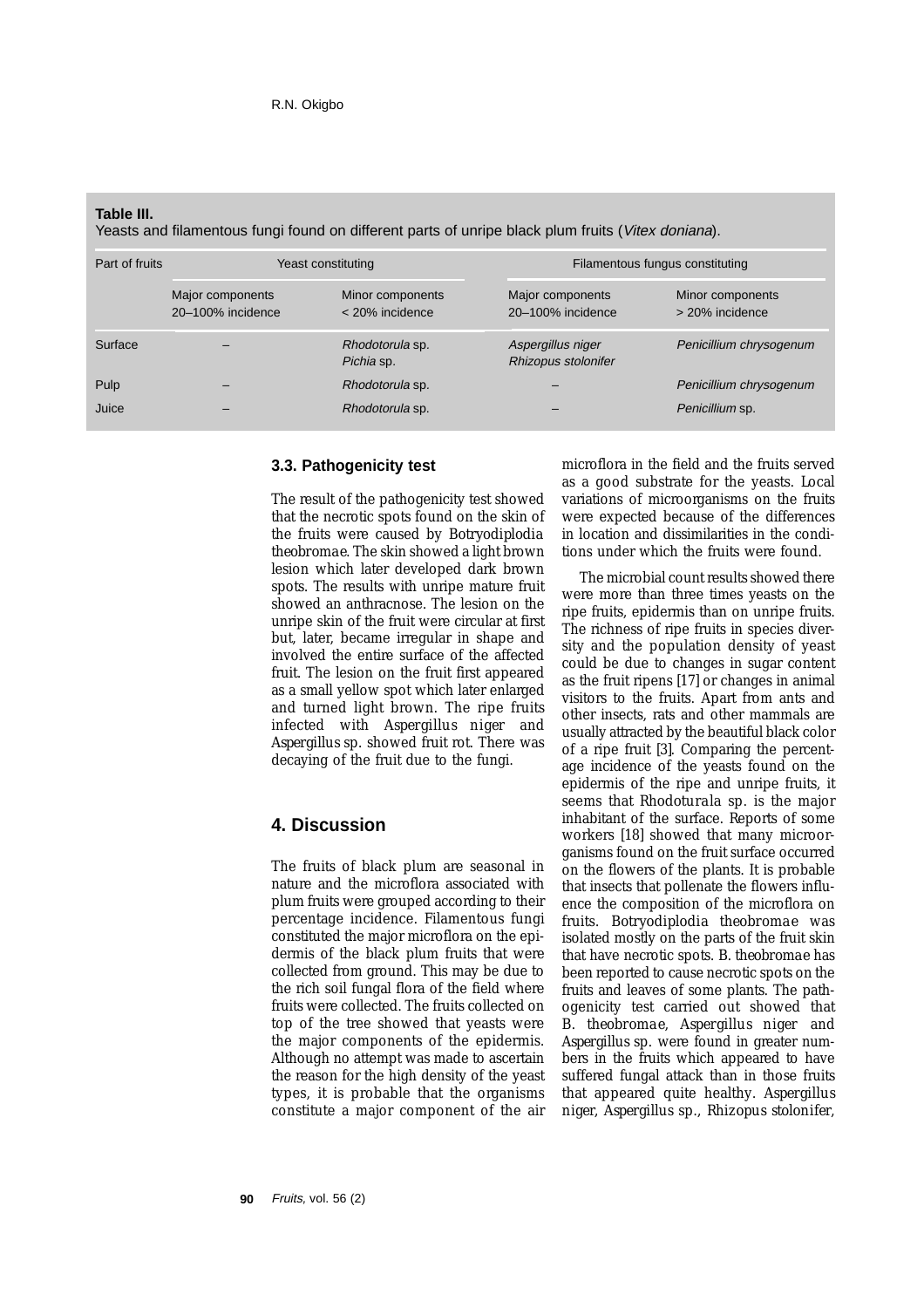#### **Table III.**

Yeasts and filamentous fungi found on different parts of unripe black plum fruits (Vitex doniana).

| Part of fruits | Yeast constituting                    |                                       | Filamentous fungus constituting          |                                     |
|----------------|---------------------------------------|---------------------------------------|------------------------------------------|-------------------------------------|
|                | Major components<br>20-100% incidence | Minor components<br>$<$ 20% incidence | Major components<br>20-100% incidence    | Minor components<br>> 20% incidence |
| Surface        |                                       | Rhodotorula sp.<br>Pichia sp.         | Aspergillus niger<br>Rhizopus stolonifer | Penicillium chrysogenum             |
| Pulp           |                                       | Rhodotorula sp.                       |                                          | Penicillium chrysogenum             |
| Juice          |                                       | Rhodotorula sp.                       |                                          | Penicillium sp.                     |

## **3.3. Pathogenicity test**

The result of the pathogenicity test showed that the necrotic spots found on the skin of the fruits were caused by *Botryodiplodia theobromae*. The skin showed a light brown lesion which later developed dark brown spots. The results with unripe mature fruit showed an anthracnose. The lesion on the unripe skin of the fruit were circular at first but, later, became irregular in shape and involved the entire surface of the affected fruit. The lesion on the fruit first appeared as a small yellow spot which later enlarged and turned light brown. The ripe fruits infected with *Aspergillus niger* and *Aspergillus* sp*.* showed fruit rot. There was decaying of the fruit due to the fungi.

# **4. Discussion**

The fruits of black plum are seasonal in nature and the microflora associated with plum fruits were grouped according to their percentage incidence. Filamentous fungi constituted the major microflora on the epidermis of the black plum fruits that were collected from ground. This may be due to the rich soil fungal flora of the field where fruits were collected. The fruits collected on top of the tree showed that yeasts were the major components of the epidermis. Although no attempt was made to ascertain the reason for the high density of the yeast types, it is probable that the organisms constitute a major component of the air microflora in the field and the fruits served as a good substrate for the yeasts. Local variations of microorganisms on the fruits were expected because of the differences in location and dissimilarities in the conditions under which the fruits were found.

The microbial count results showed there were more than three times yeasts on the ripe fruits, epidermis than on unripe fruits. The richness of ripe fruits in species diversity and the population density of yeast could be due to changes in sugar content as the fruit ripens [17] or changes in animal visitors to the fruits. Apart from ants and other insects, rats and other mammals are usually attracted by the beautiful black color of a ripe fruit [3]. Comparing the percentage incidence of the yeasts found on the epidermis of the ripe and unripe fruits, it seems that *Rhodoturala* sp. is the major inhabitant of the surface. Reports of some workers [18] showed that many microorganisms found on the fruit surface occurred on the flowers of the plants. It is probable that insects that pollenate the flowers influence the composition of the microflora on fruits. *Botryodiplodia theobromae* was isolated mostly on the parts of the fruit skin that have necrotic spots. *B. theobromae* has been reported to cause necrotic spots on the fruits and leaves of some plants. The pathogenicity test carried out showed that *B. theobromae, Aspergillus niger* and *Aspergillus* sp*.* were found in greater numbers in the fruits which appeared to have suffered fungal attack than in those fruits that appeared quite healthy. *Aspergillus niger, Aspergillus* sp.*, Rhizopus stolonifer,*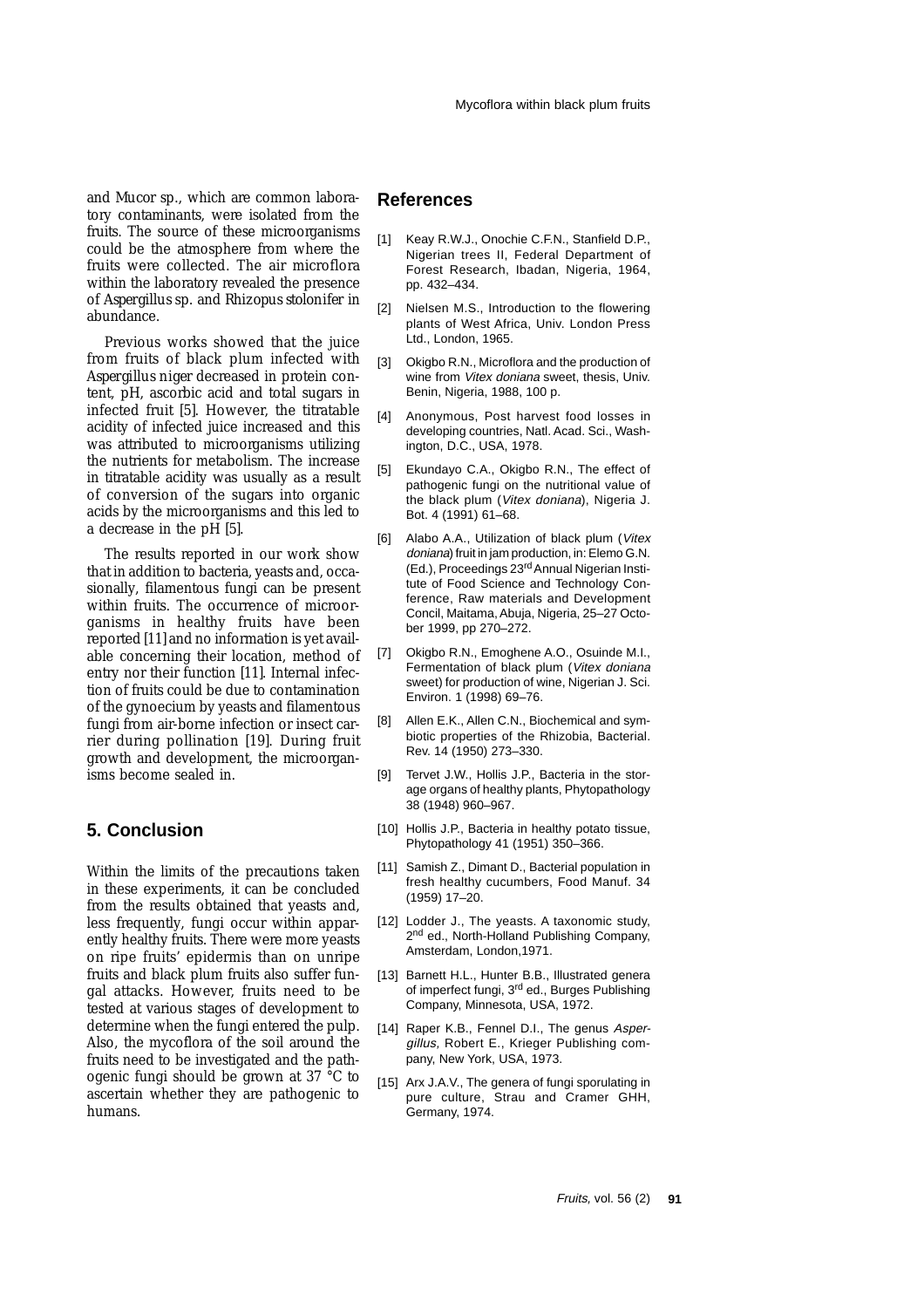and *Mucor* sp*.,* which are common laboratory contaminants, were isolated from the fruits. The source of these microorganisms could be the atmosphere from where the fruits were collected. The air microflora within the laboratory revealed the presence of *Aspergillus* sp. and *Rhizopus stolonifer* in abundance.

Previous works showed that the juice from fruits of black plum infected with *Aspergillus niger* decreased in protein content, pH, ascorbic acid and total sugars in infected fruit [5]. However, the titratable acidity of infected juice increased and this was attributed to microorganisms utilizing the nutrients for metabolism. The increase in titratable acidity was usually as a result of conversion of the sugars into organic acids by the microorganisms and this led to a decrease in the pH [5].

The results reported in our work show that in addition to bacteria, yeasts and, occasionally, filamentous fungi can be present within fruits. The occurrence of microorganisms in healthy fruits have been reported [11] and no information is yet available concerning their location, method of entry nor their function [11]. Internal infection of fruits could be due to contamination of the gynoecium by yeasts and filamentous fungi from air-borne infection or insect carrier during pollination [19]. During fruit growth and development, the microorganisms become sealed in.

## **5. Conclusion**

Within the limits of the precautions taken in these experiments, it can be concluded from the results obtained that yeasts and, less frequently, fungi occur within apparently healthy fruits. There were more yeasts on ripe fruits' epidermis than on unripe fruits and black plum fruits also suffer fungal attacks. However, fruits need to be tested at various stages of development to determine when the fungi entered the pulp. Also, the mycoflora of the soil around the fruits need to be investigated and the pathogenic fungi should be grown at 37 °C to ascertain whether they are pathogenic to humans.

#### **References**

- [1] Keay R.W.J., Onochie C.F.N., Stanfield D.P., Nigerian trees II, Federal Department of Forest Research, Ibadan, Nigeria, 1964, pp. 432–434.
- [2] Nielsen M.S., Introduction to the flowering plants of West Africa, Univ. London Press Ltd., London, 1965.
- [3] Okigbo R.N., Microflora and the production of wine from Vitex doniana sweet, thesis, Univ. Benin, Nigeria, 1988, 100 p.
- [4] Anonymous, Post harvest food losses in developing countries, Natl. Acad. Sci., Washington, D.C., USA, 1978.
- [5] Ekundayo C.A., Okigbo R.N., The effect of pathogenic fungi on the nutritional value of the black plum (Vitex doniana), Nigeria J. Bot. 4 (1991) 61–68.
- [6] Alabo A.A., Utilization of black plum (Vitex doniana) fruit in jam production, in: Elemo G.N. (Ed.), Proceedings 23rd Annual Nigerian Institute of Food Science and Technology Conference, Raw materials and Development Concil, Maitama, Abuja, Nigeria, 25–27 October 1999, pp 270–272.
- [7] Okigbo R.N., Emoghene A.O., Osuinde M.I., Fermentation of black plum (Vitex doniana sweet) for production of wine, Nigerian J. Sci. Environ. 1 (1998) 69–76.
- [8] Allen E.K., Allen C.N., Biochemical and symbiotic properties of the Rhizobia, Bacterial. Rev. 14 (1950) 273–330.
- Tervet J.W., Hollis J.P., Bacteria in the storage organs of healthy plants, Phytopathology 38 (1948) 960–967.
- [10] Hollis J.P., Bacteria in healthy potato tissue, Phytopathology 41 (1951) 350–366.
- [11] Samish Z., Dimant D., Bacterial population in fresh healthy cucumbers, Food Manuf. 34 (1959) 17–20.
- [12] Lodder J., The yeasts. A taxonomic study, 2<sup>nd</sup> ed., North-Holland Publishing Company, Amsterdam, London,1971.
- [13] Barnett H.L., Hunter B.B., Illustrated genera of imperfect fungi, 3<sup>rd</sup> ed., Burges Publishing Company, Minnesota, USA, 1972.
- [14] Raper K.B., Fennel D.I., The genus Aspergillus, Robert E., Krieger Publishing company, New York, USA, 1973.
- [15] Arx J.A.V., The genera of fungi sporulating in pure culture, Strau and Cramer GHH, Germany, 1974.